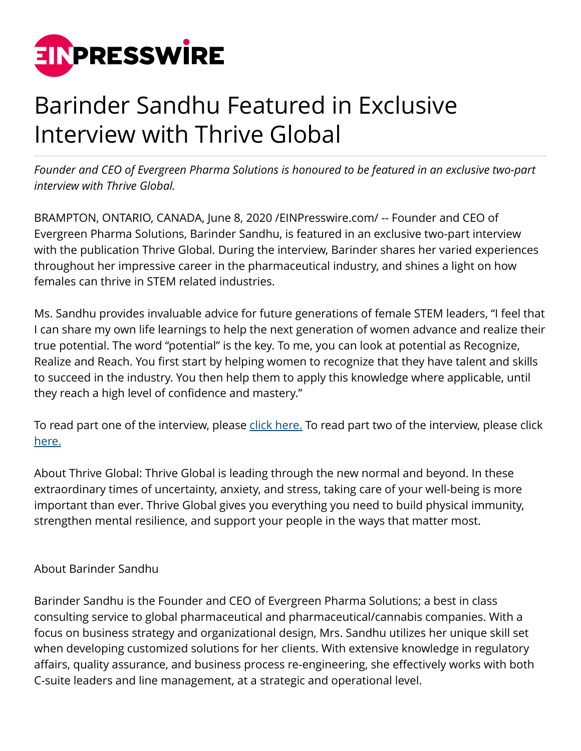

## Barinder Sandhu Featured in Exclusive Interview with Thrive Global

*Founder and CEO of Evergreen Pharma Solutions is honoured to be featured in an exclusive two-part interview with Thrive Global.* 

BRAMPTON, ONTARIO, CANADA, June 8, 2020 /[EINPresswire.com/](http://www.einpresswire.com) -- Founder and CEO of Evergreen Pharma Solutions, Barinder Sandhu, is featured in an exclusive two-part interview with the publication Thrive Global. During the interview, Barinder shares her varied experiences throughout her impressive career in the pharmaceutical industry, and shines a light on how females can thrive in STEM related industries.

Ms. Sandhu provides invaluable advice for future generations of female STEM leaders, "I feel that I can share my own life learnings to help the next generation of women advance and realize their true potential. The word "potential" is the key. To me, you can look at potential as Recognize, Realize and Reach. You first start by helping women to recognize that they have talent and skills to succeed in the industry. You then help them to apply this knowledge where applicable, until they reach a high level of confidence and mastery."

To read part one of the interview, please [click here.](https://thriveglobal.com/stories/barinder-sandhu-discusses-empowering-future-generations-of-female-stem-leaders-part-one) To read part two of the interview, please click [here.](https://thriveglobal.com/stories/barinder-sandhu-discusses-empowering-future-generations-of-female-stem-leaders-part-two/)

About Thrive Global: Thrive Global is leading through the new normal and beyond. In these extraordinary times of uncertainty, anxiety, and stress, taking care of your well-being is more important than ever. Thrive Global gives you everything you need to build physical immunity, strengthen mental resilience, and support your people in the ways that matter most.

## About Barinder Sandhu

Barinder Sandhu is the Founder and CEO of Evergreen Pharma Solutions; a best in class consulting service to global pharmaceutical and pharmaceutical/cannabis companies. With a focus on business strategy and organizational design, Mrs. Sandhu utilizes her unique skill set when developing customized solutions for her clients. With extensive knowledge in regulatory affairs, quality assurance, and business process re-engineering, she effectively works with both C-suite leaders and line management, at a strategic and operational level.